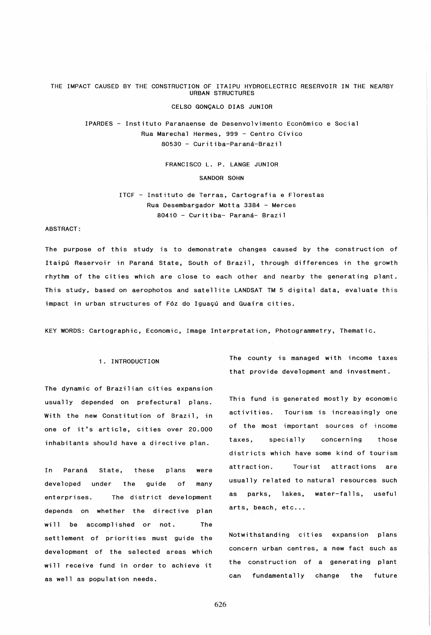THE IMPACT CAUSED BY THE CONSTRUCTION OF ITAIPU HYDROELECTRIC RESERVOIR IN THE NEARBY URBAN STRUCTURES

## CELSO GONCALO DIAS JUNIOR

IPARDES - Instituto Paranaense de Desenvolvimento Economico e Social Rua Marechal Hermes, 999 - Centro Civico 80530 - Curitiba-Paraná-Brazil

FRANCISCO L. P. LANGE JUNIOR

SANDOR SOHN

ITCF - Instituto de Terras, Cartografia e Florestas Rua Desembargador Motta 3384 - Merces 80410 - Curitiba- Parana- Brazil

## ABSTRACT:

The purpose of this study is to demonstrate changes caused by the construction of Itaipu Reservoir in Paraná State, South of Brazil, through differences in the growth rhythm of the cities which are close to each other and nearby the generating plant. This study, based on aerophotos and satellite LANDSAT TM 5 digital data, evaluate this impact in urban structures of Fóz do Iguaçú and Guaíra cities.

KEY WORDS: Cartographic, Economic, Image Interpretation, Photogrammetry, Thematic.

The dynamic of Brazilian cities expansion usually depended on prefectural plans. This fund is generated mostly by economic

enterprises. The district development as parks, lakes, water-falls, useful depends on whether the directive plan arts, beach, etc... will be accomplished or not. The settlement of priorities must guide the Notwithstanding cities expansion plans development of the selected areas which concern urban centres, a new fact such as will receive fund in order to achieve it the construction of a generating plant as well as population needs. can fundamentally change the future

1. INTRODUCTION The county is managed with income taxes that provide development and investment.

With the new Constitution of Brazil, in activities. Tourism is increasingly one one of it's article, cities over 20.000 of the most important sources of income inhabitants should have a directive plan. taxes, specially concerning those districts which have some kind of tourism In Paraná State, these plans were attraction. Tourist attractions are developed under the guide of many usually related to natural resources such

626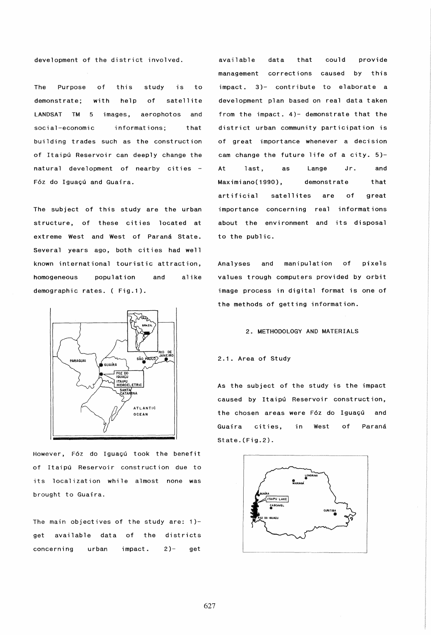development of the district involved.

The Purpose demonstrate; of with t hi s help study is to of satell ite LANDSAT TM 5 images, aerophotos and social-economic informations; that building trades such as the construction of Itaipú Reservoir can deeply change the natural development of nearby cities Fóz do Iguaçú and Guaira.

The subject of this study are the urban structure, of these cities located at extreme West and West of Paraná State. Several years ago, both cities had well known international touristic attraction, homogeneous population and alike demographic rates. ( Fig.1).



However, Fóz do Iguaçú took the benefit of Itaipu Reservoir construction due to its localization while almost none was brought to Guaira.

The main objectives of the study are: 1) get available data of the districts concerning urban impact. 2)- get

available management corrections caused by this data that could provide impact. 3)- contribute to elaborate a development plan based on real data taken from the impact. 4)- demonstrate that the district urban community participation is of great importance whenever a decision cam change the future life of a city. 5)- At last, as Lange Jr. Maximiano(1990), demonstrate artificial satellites are of and that great importance concerning real informations about the environment and its disposal to the public.

Analyses and manipulation of pixels values trough computers provided by orbit image process in digital format is one of the methods of getting information.

# 2. METHODOLOGY AND MATERIALS

# 2.1. Area of Study

As the subject of the study is the impact caused by Itaipú Reservoir construction, the chosen areas were F6z do Iguaçú and Guaira cities, in West of Paraná State.(Fig.2).

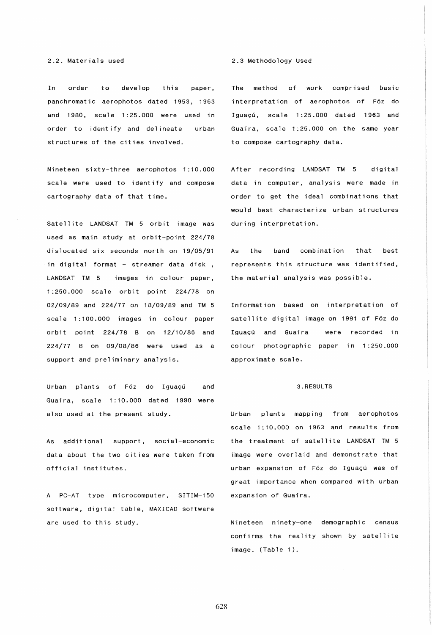In order to develop this paper, panchromatic aerophotos dated 1953, 1963 and 1980, scale 1 :25.000 were used in order to identify and delineate structures of the cities involved. urban

Nineteen sixty-three aerophotos 1:10.000 scale were used to identify and compose cartography data of that time.

Satellite LANDSAT TM 5 orbit image was used as main study at orbit-point 224/78 dislocated six seconds north on 19/05/91 in digital format - streamer data disk, LANDSAT TM 5 images in colour paper, 1:250.000 scale orbit point 224/78 on 02/09/89 and 224/77 on 18/09/89 and TM 5 scale 1:100.000 images in colour paper orbit point 224/78 B on 12/10/86 and 224/77 B on 09/08/86 were used as a support and preliminary analysis.

Urban plants of Fóz do Iguaçú and Guafra, scale 1 :10.000 dated 1990 were also used at the present study.

As additional support, social-economic data about the two cities were taken from official institutes.

A PC-AT type microcomputer, SITIM-150 software, digital table, MAXICAD software are used to this study.

### 2.3 Methodology Used

The method of work comprised basic interpretation of aerophotos of F6z do Iguacú, scale 1:25.000 dated 1963 and Guaíra, scale 1:25.000 on the same year to compose cartography data.

After recording LANDSAT TM 5 digital data in computer, analysis were made in order to get the ideal combinations that would best characterize urban structures during interpretation.

As the band combination that best represents this structure was identified, the material analysis was possible.

Information based on interpretation of satellite digital image on 1991 of F6z do Iguacú and Guaira were recorded in colour photographic paper in 1 :250.000 approximate scale.

## 3.RESULTS

Urban plants mapping from aerophotos scale 1:10.000 on 1963 and results from the treatment of satellite LANDSAT TM 5 image were overlaid and demonstrate that urban expansion of Fóz do Iguaçú was of great importance when compared with urban expansion of Guafra.

Nineteen ninety-one demographic census confirms the reality shown by satellite image. (Table 1).

628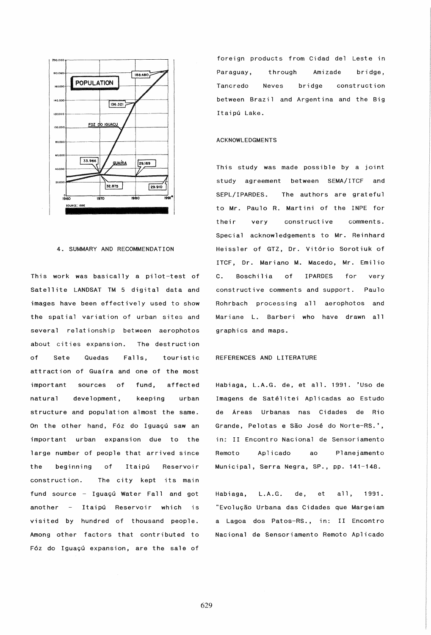

# 4. SUMMARY AND RECOMMENDATION

This work was basically a pilot-test of Satellite LANDSAT TM 5 digital data and images have been effectively used to show the spatial variation of urban sites and several relationship between aerophotos about cities expansion. The destruction Sete Quedas Falls.  $of$ touristic attraction of Guaira and one of the most important sources of fund, affected natural development. keeping urban structure and population almost the same. On the other hand, Fóz do Iguaçú saw an important urban expansion due to the large number of people that arrived since beginning of Itaipú the Reservoir construction. The city kept its main fund source - Iguaçú Water Fall and got another - Itaipú Reservoir which is visited by hundred of thousand people. Among other factors that contributed to Fóz do Iguaçú expansion, are the sale of

foreign products from Cidad del Leste in Paraguay, through Amizade bridge. Tancredo **Neves** bridge construction between Brazil and Argentina and the Big Itaipú Lake.

## **ACKNOWLEDGMENTS**

This study was made possible by a joint study agreement between SEMA/ITCF and SEPL/IPARDES. The authors are grateful to Mr. Paulo R. Martini of the INPE for constructive their very  $comment$ s Special acknowledgements to Mr. Reinhard Heissler of GTZ, Dr. Vitório Sorotiuk of ITCF, Dr. Mariano M. Macedo, Mr. Emilio Boschilia  $of$ **IPARDES** for  $\mathbf{c}$ . very constructive comments and support. Paulo Rohrbach processing all aerophotos and Mariane L. Barberi who have drawn all graphics and maps.

## REFERENCES AND LITERATURE

Habiaga, L.A.G. de, et all. 1991. 'Uso de Imagens de Satélitei Aplicadas ao Estudo de Áreas Urbanas nas Cidades de Rio Grande, Pelotas e São José do Norte-RS.', in: II Encontro Nacional de Sensoriamento Remoto Aplicado ao Planejamento Municipal, Serra Negra, SP., pp. 141-148.

 $L.A.G.$ Habiaga, de, et a11. 1991. "Evolução Urbana das Cidades que Margeiam a Lagoa dos Patos-RS., in: II Encontro Nacional de Sensoriamento Remoto Aplicado